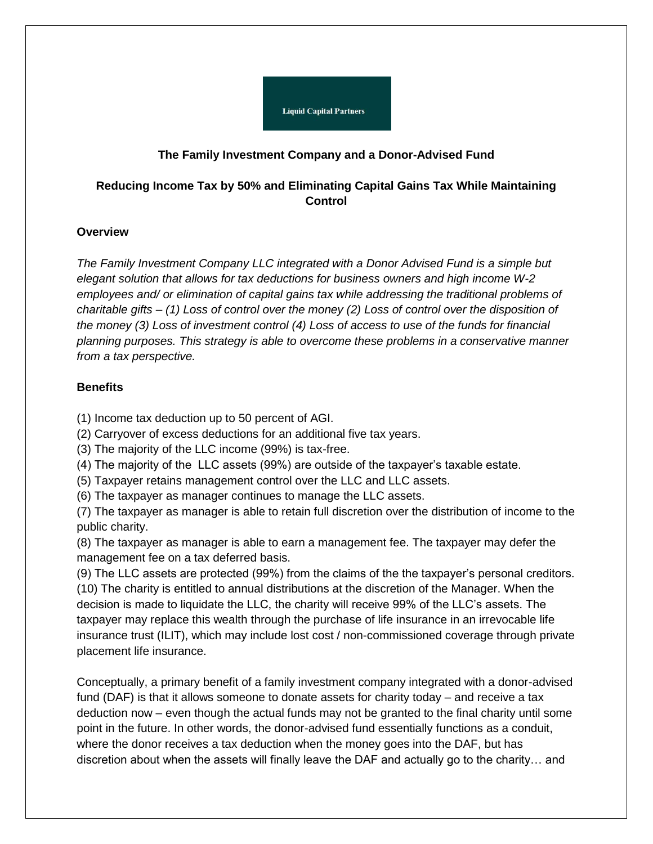

## **The Family Investment Company and a Donor-Advised Fund**

# **Reducing Income Tax by 50% and Eliminating Capital Gains Tax While Maintaining Control**

## **Overview**

*The Family Investment Company LLC integrated with a Donor Advised Fund is a simple but elegant solution that allows for tax deductions for business owners and high income W-2*  employees and/ or elimination of capital gains tax while addressing the traditional problems of *charitable gifts – (1) Loss of control over the money (2) Loss of control over the disposition of the money (3) Loss of investment control (4) Loss of access to use of the funds for financial planning purposes. This strategy is able to overcome these problems in a conservative manner from a tax perspective.*

## **Benefits**

(1) Income tax deduction up to 50 percent of AGI.

(2) Carryover of excess deductions for an additional five tax years.

- (3) The majority of the LLC income (99%) is tax-free.
- (4) The majority of the LLC assets (99%) are outside of the taxpayer's taxable estate.
- (5) Taxpayer retains management control over the LLC and LLC assets.

(6) The taxpayer as manager continues to manage the LLC assets.

(7) The taxpayer as manager is able to retain full discretion over the distribution of income to the public charity.

(8) The taxpayer as manager is able to earn a management fee. The taxpayer may defer the management fee on a tax deferred basis.

(9) The LLC assets are protected (99%) from the claims of the the taxpayer's personal creditors. (10) The charity is entitled to annual distributions at the discretion of the Manager. When the decision is made to liquidate the LLC, the charity will receive 99% of the LLC's assets. The taxpayer may replace this wealth through the purchase of life insurance in an irrevocable life insurance trust (ILIT), which may include lost cost / non-commissioned coverage through private placement life insurance.

Conceptually, a primary benefit of a family investment company integrated with a donor-advised fund (DAF) is that it allows someone to donate assets for charity today – and receive a tax deduction now – even though the actual funds may not be granted to the final charity until some point in the future. In other words, the donor-advised fund essentially functions as a conduit, where the donor receives a tax deduction when the money goes into the DAF, but has discretion about when the assets will finally leave the DAF and actually go to the charity… and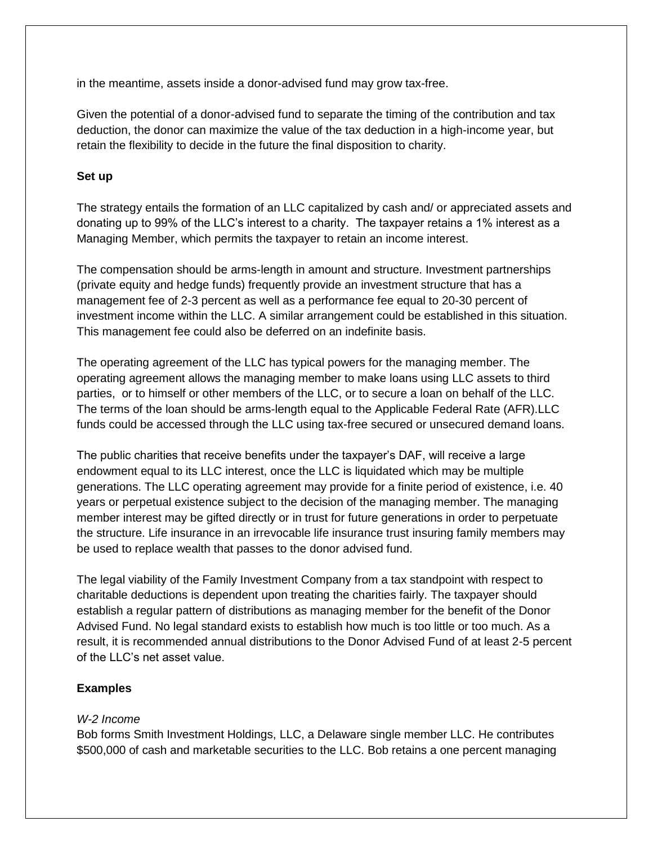in the meantime, assets inside a donor-advised fund may grow tax-free.

Given the potential of a donor-advised fund to separate the timing of the contribution and tax deduction, the donor can maximize the value of the tax deduction in a high-income year, but retain the flexibility to decide in the future the final disposition to charity.

### **Set up**

The strategy entails the formation of an LLC capitalized by cash and/ or appreciated assets and donating up to 99% of the LLC's interest to a charity. The taxpayer retains a 1% interest as a Managing Member, which permits the taxpayer to retain an income interest.

The compensation should be arms-length in amount and structure. Investment partnerships (private equity and hedge funds) frequently provide an investment structure that has a management fee of 2-3 percent as well as a performance fee equal to 20-30 percent of investment income within the LLC. A similar arrangement could be established in this situation. This management fee could also be deferred on an indefinite basis.

The operating agreement of the LLC has typical powers for the managing member. The operating agreement allows the managing member to make loans using LLC assets to third parties, or to himself or other members of the LLC, or to secure a loan on behalf of the LLC. The terms of the loan should be arms-length equal to the Applicable Federal Rate (AFR).LLC funds could be accessed through the LLC using tax-free secured or unsecured demand loans.

The public charities that receive benefits under the taxpayer's DAF, will receive a large endowment equal to its LLC interest, once the LLC is liquidated which may be multiple generations. The LLC operating agreement may provide for a finite period of existence, i.e. 40 years or perpetual existence subject to the decision of the managing member. The managing member interest may be gifted directly or in trust for future generations in order to perpetuate the structure. Life insurance in an irrevocable life insurance trust insuring family members may be used to replace wealth that passes to the donor advised fund.

The legal viability of the Family Investment Company from a tax standpoint with respect to charitable deductions is dependent upon treating the charities fairly. The taxpayer should establish a regular pattern of distributions as managing member for the benefit of the Donor Advised Fund. No legal standard exists to establish how much is too little or too much. As a result, it is recommended annual distributions to the Donor Advised Fund of at least 2-5 percent of the LLC's net asset value.

## **Examples**

#### *W-2 Income*

Bob forms Smith Investment Holdings, LLC, a Delaware single member LLC. He contributes \$500,000 of cash and marketable securities to the LLC. Bob retains a one percent managing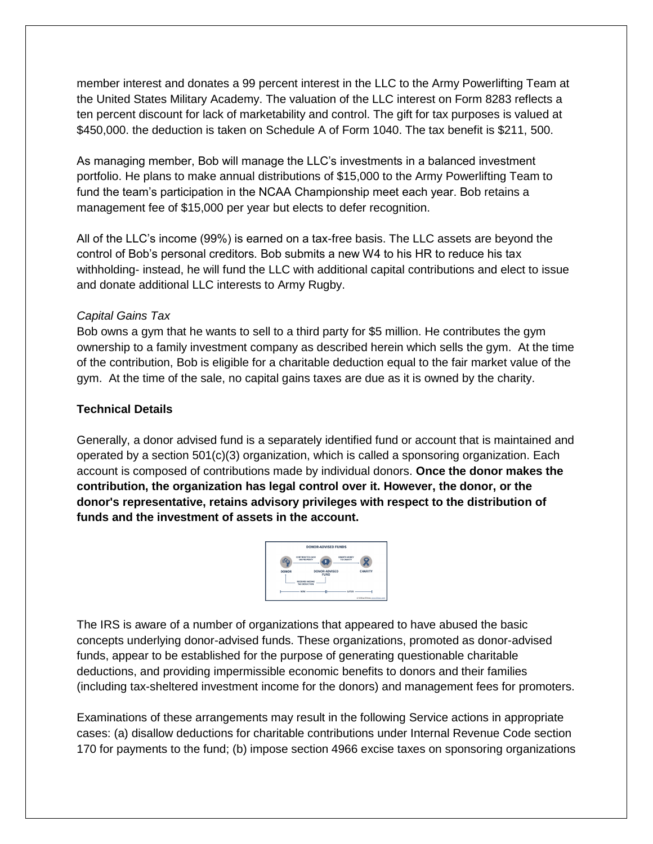member interest and donates a 99 percent interest in the LLC to the Army Powerlifting Team at the United States Military Academy. The valuation of the LLC interest on Form 8283 reflects a ten percent discount for lack of marketability and control. The gift for tax purposes is valued at \$450,000. the deduction is taken on Schedule A of Form 1040. The tax benefit is \$211, 500.

As managing member, Bob will manage the LLC's investments in a balanced investment portfolio. He plans to make annual distributions of \$15,000 to the Army Powerlifting Team to fund the team's participation in the NCAA Championship meet each year. Bob retains a management fee of \$15,000 per year but elects to defer recognition.

All of the LLC's income (99%) is earned on a tax-free basis. The LLC assets are beyond the control of Bob's personal creditors. Bob submits a new W4 to his HR to reduce his tax withholding- instead, he will fund the LLC with additional capital contributions and elect to issue and donate additional LLC interests to Army Rugby.

#### *Capital Gains Tax*

Bob owns a gym that he wants to sell to a third party for \$5 million. He contributes the gym ownership to a family investment company as described herein which sells the gym. At the time of the contribution, Bob is eligible for a charitable deduction equal to the fair market value of the gym. At the time of the sale, no capital gains taxes are due as it is owned by the charity.

## **Technical Details**

Generally, a donor advised fund is a separately identified fund or account that is maintained and operated by a section 501(c)(3) organization, which is called a sponsoring organization. Each account is composed of contributions made by individual donors. **Once the donor makes the contribution, the organization has legal control over it. However, the donor, or the donor's representative, retains advisory privileges with respect to the distribution of funds and the investment of assets in the account.**



The IRS is aware of a number of organizations that appeared to have abused the basic concepts underlying donor-advised funds. These organizations, promoted as donor-advised funds, appear to be established for the purpose of generating questionable charitable deductions, and providing impermissible economic benefits to donors and their families (including tax-sheltered investment income for the donors) and management fees for promoters.

Examinations of these arrangements may result in the following Service actions in appropriate cases: (a) disallow deductions for charitable contributions under Internal Revenue Code section 170 for payments to the fund; (b) impose section 4966 excise taxes on sponsoring organizations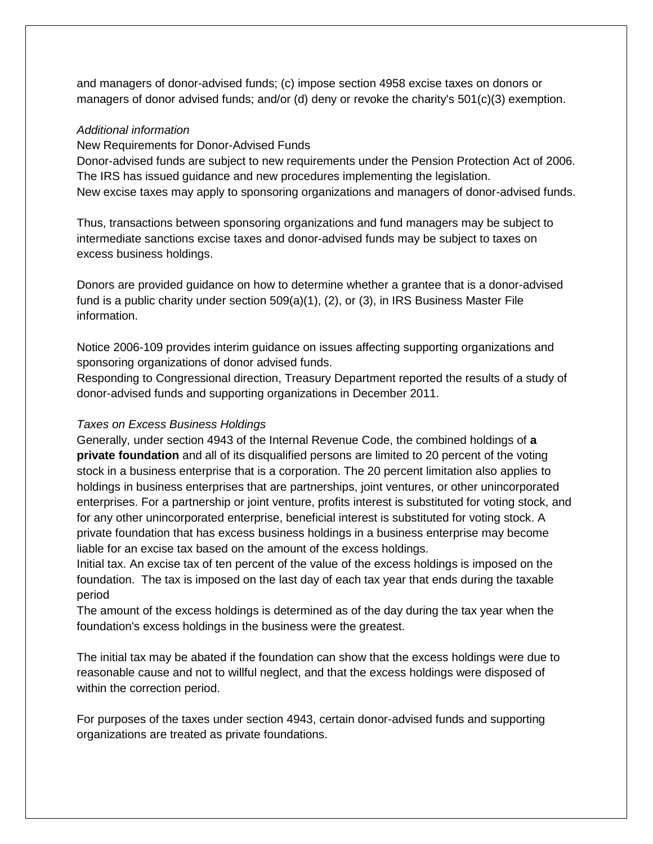and managers of donor-advised funds; (c) impose section 4958 excise taxes on donors or managers of donor advised funds; and/or (d) deny or revoke the charity's 501(c)(3) exemption.

#### *Additional information*

New Requirements for Donor-Advised Funds

Donor-advised funds are subject to new requirements under the Pension Protection Act of 2006. The IRS has issued guidance and new procedures implementing the legislation. New excise taxes may apply to sponsoring organizations and managers of donor-advised funds.

Thus, transactions between sponsoring organizations and fund managers may be subject to intermediate sanctions excise taxes and donor-advised funds may be subject to taxes on excess business holdings.

Donors are provided guidance on how to determine whether a grantee that is a donor-advised fund is a public charity under section 509(a)(1), (2), or (3), in IRS Business Master File information.

Notice 2006-109 provides interim guidance on issues affecting supporting organizations and sponsoring organizations of donor advised funds.

Responding to Congressional direction, Treasury Department reported the results of a study of donor-advised funds and supporting organizations in December 2011.

#### *Taxes on Excess Business Holdings*

Generally, under section 4943 of the Internal Revenue Code, the combined holdings of **a private foundation** and all of its disqualified persons are limited to 20 percent of the voting stock in a business enterprise that is a corporation. The 20 percent limitation also applies to holdings in business enterprises that are partnerships, joint ventures, or other unincorporated enterprises. For a partnership or joint venture, profits interest is substituted for voting stock, and for any other unincorporated enterprise, beneficial interest is substituted for voting stock. A private foundation that has excess business holdings in a business enterprise may become liable for an excise tax based on the amount of the excess holdings.

Initial tax. An excise tax of ten percent of the value of the excess holdings is imposed on the foundation. The tax is imposed on the last day of each tax year that ends during the taxable period

The amount of the excess holdings is determined as of the day during the tax year when the foundation's excess holdings in the business were the greatest.

The initial tax may be abated if the foundation can show that the excess holdings were due to reasonable cause and not to willful neglect, and that the excess holdings were disposed of within the correction period.

For purposes of the taxes under section 4943, certain donor-advised funds and supporting organizations are treated as private foundations.